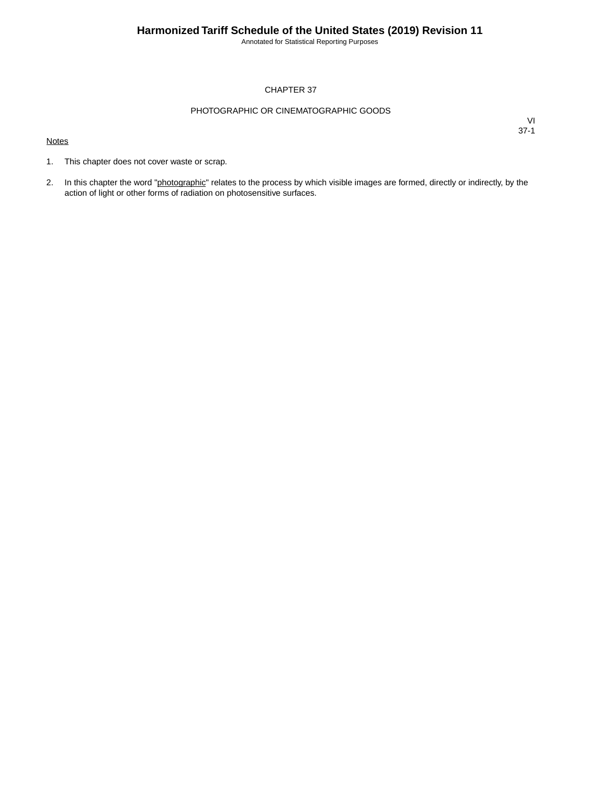Annotated for Statistical Reporting Purposes

#### CHAPTER 37

#### PHOTOGRAPHIC OR CINEMATOGRAPHIC GOODS

#### **Notes**

- 1. This chapter does not cover waste or scrap.
- 2. In this chapter the word "photographic" relates to the process by which visible images are formed, directly or indirectly, by the action of light or other forms of radiation on photosensitive surfaces.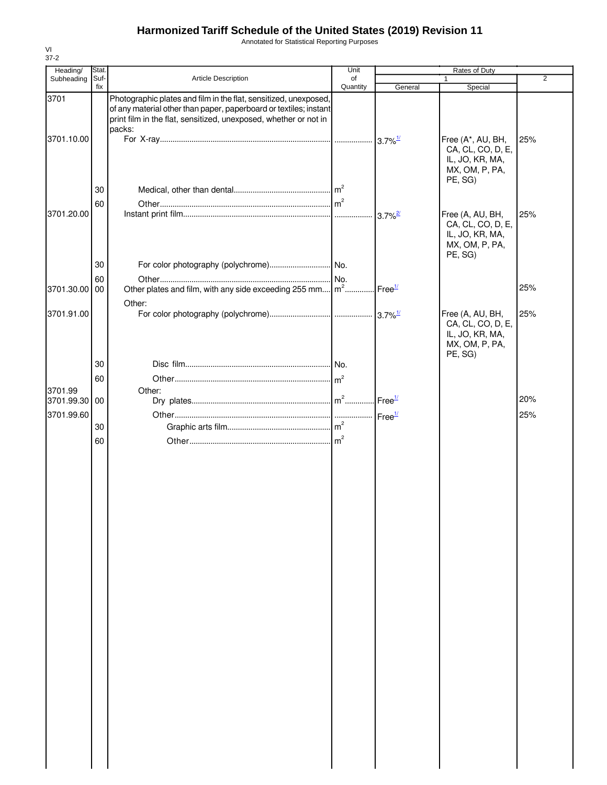Annotated for Statistical Reporting Purposes

| Heading/   | Stat.       |                                                                                                                                                                                                                     | Unit           |                    | Rates of Duty                                                                         |                |
|------------|-------------|---------------------------------------------------------------------------------------------------------------------------------------------------------------------------------------------------------------------|----------------|--------------------|---------------------------------------------------------------------------------------|----------------|
| Subheading | Suf-<br>fix | Article Description                                                                                                                                                                                                 | of<br>Quantity | General            | $\mathbf{1}$<br>Special                                                               | $\overline{2}$ |
| 3701       |             | Photographic plates and film in the flat, sensitized, unexposed,<br>of any material other than paper, paperboard or textiles; instant<br>print film in the flat, sensitized, unexposed, whether or not in<br>packs: |                |                    |                                                                                       |                |
| 3701.10.00 |             |                                                                                                                                                                                                                     |                |                    | Free (A*, AU, BH,<br>CA, CL, CO, D, E,<br>IL, JO, KR, MA,                             | 25%            |
|            | 30<br>60    |                                                                                                                                                                                                                     |                |                    | MX, OM, P, PA,<br>PE, SG)                                                             |                |
| 3701.20.00 |             |                                                                                                                                                                                                                     |                |                    | Free (A, AU, BH,<br>CA, CL, CO, D, E,<br>IL, JO, KR, MA,<br>MX, OM, P, PA,<br>PE, SG) | 25%            |
|            | 30<br>60    |                                                                                                                                                                                                                     |                |                    |                                                                                       |                |
| 3701.30.00 | 00          | Other plates and film, with any side exceeding 255 mm m <sup>2</sup><br>Other:                                                                                                                                      |                | Free <sup>1/</sup> |                                                                                       | 25%            |
| 3701.91.00 |             |                                                                                                                                                                                                                     |                |                    | Free (A, AU, BH,<br>CA, CL, CO, D, E,<br>IL, JO, KR, MA,<br>MX, OM, P, PA,<br>PE, SG) | 25%            |
|            | 30          |                                                                                                                                                                                                                     |                |                    |                                                                                       |                |
| 3701.99    | 60          | Other:                                                                                                                                                                                                              |                |                    |                                                                                       |                |
| 3701.99.30 | 00          |                                                                                                                                                                                                                     |                |                    |                                                                                       | 20%            |
| 3701.99.60 | 30          |                                                                                                                                                                                                                     |                |                    |                                                                                       | 25%            |
|            | 60          |                                                                                                                                                                                                                     |                |                    |                                                                                       |                |
|            |             |                                                                                                                                                                                                                     |                |                    |                                                                                       |                |
|            |             |                                                                                                                                                                                                                     |                |                    |                                                                                       |                |
|            |             |                                                                                                                                                                                                                     |                |                    |                                                                                       |                |
|            |             |                                                                                                                                                                                                                     |                |                    |                                                                                       |                |
|            |             |                                                                                                                                                                                                                     |                |                    |                                                                                       |                |
|            |             |                                                                                                                                                                                                                     |                |                    |                                                                                       |                |
|            |             |                                                                                                                                                                                                                     |                |                    |                                                                                       |                |
|            |             |                                                                                                                                                                                                                     |                |                    |                                                                                       |                |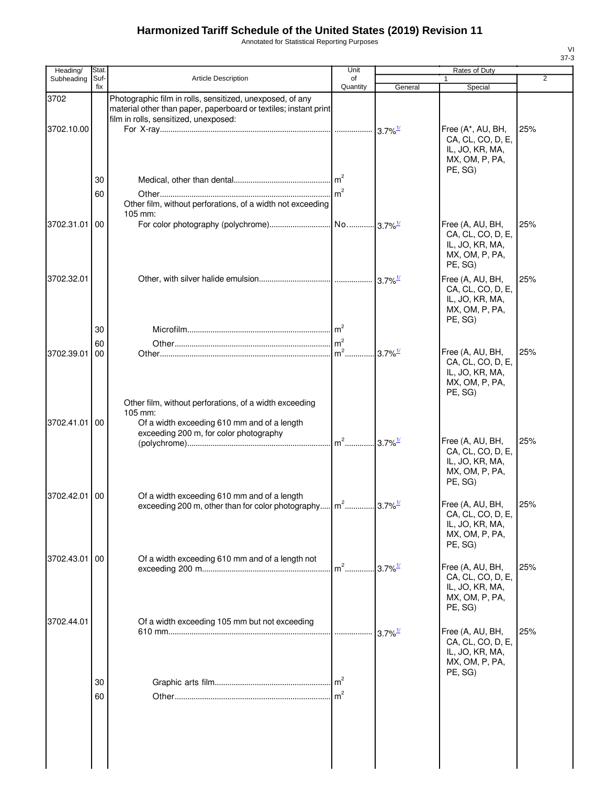Annotated for Statistical Reporting Purposes

| Heading/   | Stat.       |                                                                                                                                                                        | Unit           |                       | Rates of Duty                                                                          |     |
|------------|-------------|------------------------------------------------------------------------------------------------------------------------------------------------------------------------|----------------|-----------------------|----------------------------------------------------------------------------------------|-----|
| Subheading | Suf-<br>fix | Article Description                                                                                                                                                    | of<br>Quantity | General               | $\mathbf{1}$<br>Special                                                                | 2   |
| 3702       |             | Photographic film in rolls, sensitized, unexposed, of any<br>material other than paper, paperboard or textiles; instant print<br>film in rolls, sensitized, unexposed: |                |                       |                                                                                        |     |
| 3702.10.00 |             |                                                                                                                                                                        |                | $3.7\%$ <sup>1/</sup> | Free (A*, AU, BH,<br>CA, CL, CO, D, E,<br>IL, JO, KR, MA,<br>MX, OM, P, PA,<br>PE, SG) | 25% |
|            | 30          |                                                                                                                                                                        |                |                       |                                                                                        |     |
|            | 60          | Other film, without perforations, of a width not exceeding<br>105 mm:                                                                                                  |                |                       |                                                                                        |     |
| 3702.31.01 | 00          |                                                                                                                                                                        |                |                       | Free (A, AU, BH,<br>CA, CL, CO, D, E,<br>IL, JO, KR, MA,<br>MX, OM, P, PA,<br>PE, SG)  | 25% |
| 3702.32.01 |             |                                                                                                                                                                        |                |                       | Free (A, AU, BH,<br>CA, CL, CO, D, E,<br>IL, JO, KR, MA,<br>MX, OM, P, PA,<br>PE, SG)  | 25% |
|            | 30          |                                                                                                                                                                        |                |                       |                                                                                        |     |
| 3702.39.01 | 60<br>00    |                                                                                                                                                                        | m <sup>2</sup> | $3.7\%$ <sup>1/</sup> | Free (A, AU, BH,                                                                       | 25% |
|            |             |                                                                                                                                                                        |                |                       | CA, CL, CO, D, E,<br>IL, JO, KR, MA,<br>MX, OM, P, PA,<br>PE, SG)                      |     |
|            |             | Other film, without perforations, of a width exceeding                                                                                                                 |                |                       |                                                                                        |     |
| 3702.41.01 | 00          | 105 mm:<br>Of a width exceeding 610 mm and of a length<br>exceeding 200 m, for color photography                                                                       |                |                       | Free (A, AU, BH,                                                                       | 25% |
|            |             |                                                                                                                                                                        |                |                       | CA, CL, CO, D, E,<br>IL, JO, KR, MA,<br>MX, OM, P, PA,<br>PE, SG)                      |     |
| 3702.42.01 | 00          | Of a width exceeding 610 mm and of a length<br>exceeding 200 m, other than for color photography                                                                       | m <sup>2</sup> | $3.7\%$ <sup>1/</sup> | Free (A, AU, BH,<br>CA, CL, CO, D, E,<br>IL, JO, KR, MA,<br>MX, OM, P, PA,<br>PE, SG)  | 25% |
| 3702.43.01 | 00          | Of a width exceeding 610 mm and of a length not                                                                                                                        |                |                       |                                                                                        |     |
|            |             |                                                                                                                                                                        | $m2$           | $3.7\%$ <sup>1/</sup> | Free (A, AU, BH,<br>CA, CL, CO, D, E,<br>IL, JO, KR, MA,<br>MX, OM, P, PA,<br>PE, SG)  | 25% |
| 3702.44.01 |             | Of a width exceeding 105 mm but not exceeding                                                                                                                          |                |                       |                                                                                        |     |
|            |             |                                                                                                                                                                        |                | $3.7\%$ <sup>1/</sup> | Free (A, AU, BH,<br>CA, CL, CO, D, E,<br>IL, JO, KR, MA,<br>MX, OM, P, PA,<br>PE, SG)  | 25% |
|            | 30          |                                                                                                                                                                        | m <sup>2</sup> |                       |                                                                                        |     |
|            | 60          |                                                                                                                                                                        |                |                       |                                                                                        |     |
|            |             |                                                                                                                                                                        |                |                       |                                                                                        |     |

VI 37-3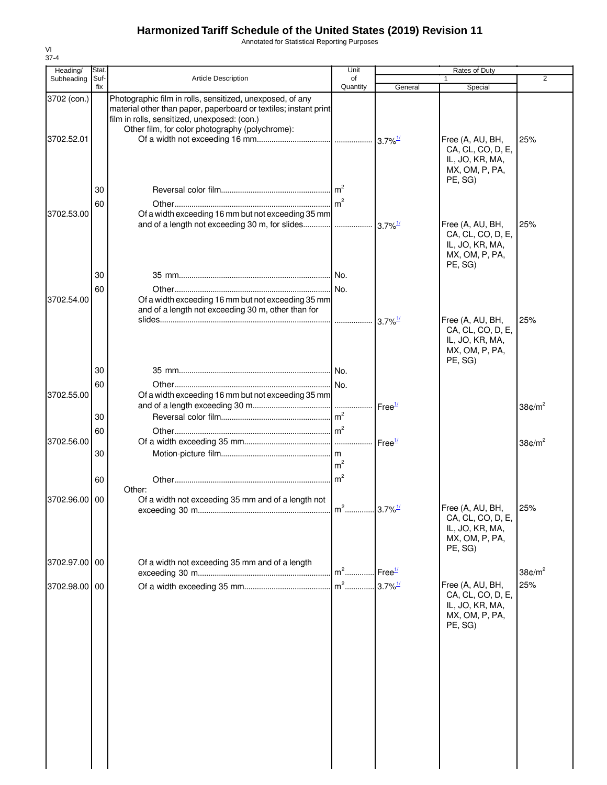Annotated for Statistical Reporting Purposes

| Heading/                  | Stat.       |                                                                                                                                                                                                                                  | Unit                            |                        | Rates of Duty                                                                                                                         |                        |
|---------------------------|-------------|----------------------------------------------------------------------------------------------------------------------------------------------------------------------------------------------------------------------------------|---------------------------------|------------------------|---------------------------------------------------------------------------------------------------------------------------------------|------------------------|
| Subheading                | Suf-<br>fix | <b>Article Description</b>                                                                                                                                                                                                       | of<br>Quantity                  | General                | 1<br>Special                                                                                                                          | $\overline{2}$         |
| 3702 (con.)<br>3702.52.01 |             | Photographic film in rolls, sensitized, unexposed, of any<br>material other than paper, paperboard or textiles; instant print<br>film in rolls, sensitized, unexposed: (con.)<br>Other film, for color photography (polychrome): |                                 |                        | Free (A, AU, BH,<br>CA, CL, CO, D, E,                                                                                                 | 25%                    |
| 3702.53.00                | 30<br>60    | Of a width exceeding 16 mm but not exceeding 35 mm                                                                                                                                                                               |                                 |                        | IL, JO, KR, MA,<br>MX, OM, P, PA,<br>PE, SG)<br>Free (A, AU, BH,<br>CA, CL, CO, D, E,<br>IL, JO, KR, MA,<br>MX, OM, P, PA,<br>PE, SG) | 25%                    |
|                           | 30<br>60    |                                                                                                                                                                                                                                  |                                 |                        |                                                                                                                                       |                        |
| 3702.54.00                |             | Of a width exceeding 16 mm but not exceeding 35 mm<br>and of a length not exceeding 30 m, other than for                                                                                                                         |                                 | $3.7\%$ <sup>1/</sup>  | Free (A, AU, BH,<br>CA, CL, CO, D, E,<br>IL, JO, KR, MA,<br>MX, OM, P, PA,                                                            | 25%                    |
|                           | 30          |                                                                                                                                                                                                                                  |                                 |                        | PE, SG)                                                                                                                               |                        |
| 3702.55.00                | 60          | Of a width exceeding 16 mm but not exceeding 35 mm                                                                                                                                                                               |                                 |                        |                                                                                                                                       |                        |
|                           | 30          |                                                                                                                                                                                                                                  |                                 | Free <sup>1/</sup>     |                                                                                                                                       | 38 $¢$ /m <sup>2</sup> |
| 3702.56.00                | 60<br>30    |                                                                                                                                                                                                                                  |                                 |                        |                                                                                                                                       | 38 $\text{C/m}^2$      |
|                           | 60          |                                                                                                                                                                                                                                  | m <sup>2</sup><br>$\text{Im}^2$ |                        |                                                                                                                                       |                        |
| 3702.96.00                | 00          | Other:<br>Of a width not exceeding 35 mm and of a length not                                                                                                                                                                     |                                 |                        |                                                                                                                                       |                        |
|                           |             |                                                                                                                                                                                                                                  |                                 |                        | Free (A, AU, BH,<br>CA, CL, CO, D, E,<br>IL, JO, KR, MA,<br>MX, OM, P, PA,<br>PE, SG)                                                 | 25%                    |
| 3702.97.00 00             |             | Of a width not exceeding 35 mm and of a length                                                                                                                                                                                   | $m2$                            | Free <sup>1/</sup>     |                                                                                                                                       | 38 $\varepsilon/m^2$   |
| 3702.98.00 00             |             |                                                                                                                                                                                                                                  | $m2$                            | $.3.7\%$ <sup>1/</sup> | Free (A, AU, BH,<br>CA, CL, CO, D, E,<br>IL, JO, KR, MA,<br>MX, OM, P, PA,<br>PE, SG)                                                 | 25%                    |
|                           |             |                                                                                                                                                                                                                                  |                                 |                        |                                                                                                                                       |                        |
|                           |             |                                                                                                                                                                                                                                  |                                 |                        |                                                                                                                                       |                        |
|                           |             |                                                                                                                                                                                                                                  |                                 |                        |                                                                                                                                       |                        |
|                           |             |                                                                                                                                                                                                                                  |                                 |                        |                                                                                                                                       |                        |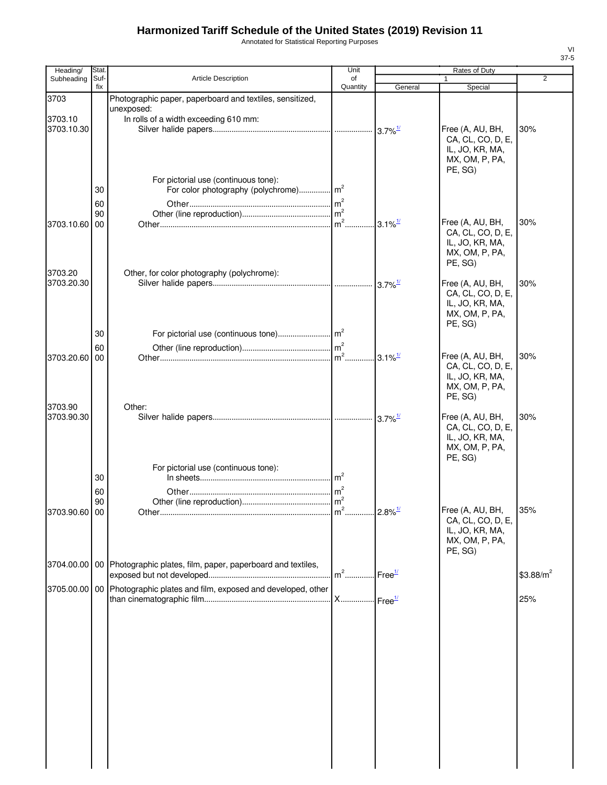Annotated for Statistical Reporting Purposes

| Heading/              | Stat.       |                                                                              | Unit                                                   |                        | Rates of Duty                         |                |
|-----------------------|-------------|------------------------------------------------------------------------------|--------------------------------------------------------|------------------------|---------------------------------------|----------------|
| Subheading            | Suf-<br>fix | Article Description                                                          | of<br>Quantity                                         | General                | $\mathbf{1}$<br>Special               | $\overline{2}$ |
| 3703                  |             | Photographic paper, paperboard and textiles, sensitized,                     |                                                        |                        |                                       |                |
|                       |             | unexposed:                                                                   |                                                        |                        |                                       |                |
| 3703.10<br>3703.10.30 |             | In rolls of a width exceeding 610 mm:                                        |                                                        |                        | Free (A, AU, BH,                      | 30%            |
|                       |             |                                                                              |                                                        |                        | CA, CL, CO, D, E,                     |                |
|                       |             |                                                                              |                                                        |                        | IL, JO, KR, MA,                       |                |
|                       |             |                                                                              |                                                        |                        | MX, OM, P, PA,<br>PE, SG)             |                |
|                       |             | For pictorial use (continuous tone):                                         |                                                        |                        |                                       |                |
|                       | 30          |                                                                              |                                                        |                        |                                       |                |
|                       | 60          |                                                                              |                                                        |                        |                                       |                |
| 3703.10.60            | 90<br>00    |                                                                              |                                                        | $.3.1\%$ <sup>1/</sup> | Free (A, AU, BH,                      | 30%            |
|                       |             |                                                                              |                                                        |                        | CA, CL, CO, D, E,                     |                |
|                       |             |                                                                              |                                                        |                        | IL, JO, KR, MA,                       |                |
|                       |             |                                                                              |                                                        |                        | MX, OM, P, PA,<br>PE, SG)             |                |
| 3703.20               |             | Other, for color photography (polychrome):                                   |                                                        |                        |                                       |                |
| 3703.20.30            |             |                                                                              |                                                        |                        | Free (A, AU, BH,<br>CA, CL, CO, D, E, | 30%            |
|                       |             |                                                                              |                                                        |                        | IL, JO, KR, MA,                       |                |
|                       |             |                                                                              |                                                        |                        | MX, OM, P, PA,                        |                |
|                       | 30          |                                                                              |                                                        |                        | PE, SG)                               |                |
|                       | 60          |                                                                              |                                                        |                        |                                       |                |
| 3703.20.60            | 00          |                                                                              |                                                        |                        | Free (A, AU, BH,                      | 30%            |
|                       |             |                                                                              |                                                        |                        | CA, CL, CO, D, E,                     |                |
|                       |             |                                                                              |                                                        |                        | IL, JO, KR, MA,<br>MX, OM, P, PA,     |                |
|                       |             |                                                                              |                                                        |                        | PE, SG)                               |                |
| 3703.90               |             | Other:                                                                       |                                                        |                        |                                       |                |
| 3703.90.30            |             |                                                                              |                                                        |                        | Free (A, AU, BH,<br>CA, CL, CO, D, E, | 30%            |
|                       |             |                                                                              |                                                        |                        | IL, JO, KR, MA,                       |                |
|                       |             |                                                                              |                                                        |                        | MX, OM, P, PA,<br>PE, SG)             |                |
|                       |             | For pictorial use (continuous tone):                                         |                                                        |                        |                                       |                |
|                       | 30          |                                                                              |                                                        |                        |                                       |                |
|                       | 60          |                                                                              |                                                        |                        |                                       |                |
| 3703.90.60 00         | 90          |                                                                              |                                                        |                        | Free (A, AU, BH,                      | 35%            |
|                       |             |                                                                              |                                                        |                        | CA, CL, CO, D, E,                     |                |
|                       |             |                                                                              |                                                        |                        | IL, JO, KR, MA,                       |                |
|                       |             |                                                                              |                                                        |                        | MX, OM, P, PA,<br>PE, SG)             |                |
| 3704.00.00            |             | 00 Photographic plates, film, paper, paperboard and textiles,                |                                                        |                        |                                       |                |
|                       |             |                                                                              | $\mathsf{Im}^2$ Free $^{\underline{\textbf{1}\prime}}$ |                        |                                       | $$3.88/m^2$    |
|                       |             | 3705.00.00   00   Photographic plates and film, exposed and developed, other |                                                        |                        |                                       |                |
|                       |             |                                                                              |                                                        |                        |                                       | 25%            |
|                       |             |                                                                              |                                                        |                        |                                       |                |
|                       |             |                                                                              |                                                        |                        |                                       |                |
|                       |             |                                                                              |                                                        |                        |                                       |                |
|                       |             |                                                                              |                                                        |                        |                                       |                |
|                       |             |                                                                              |                                                        |                        |                                       |                |
|                       |             |                                                                              |                                                        |                        |                                       |                |
|                       |             |                                                                              |                                                        |                        |                                       |                |
|                       |             |                                                                              |                                                        |                        |                                       |                |
|                       |             |                                                                              |                                                        |                        |                                       |                |
|                       |             |                                                                              |                                                        |                        |                                       |                |
|                       |             |                                                                              |                                                        |                        |                                       |                |
|                       |             |                                                                              |                                                        |                        |                                       |                |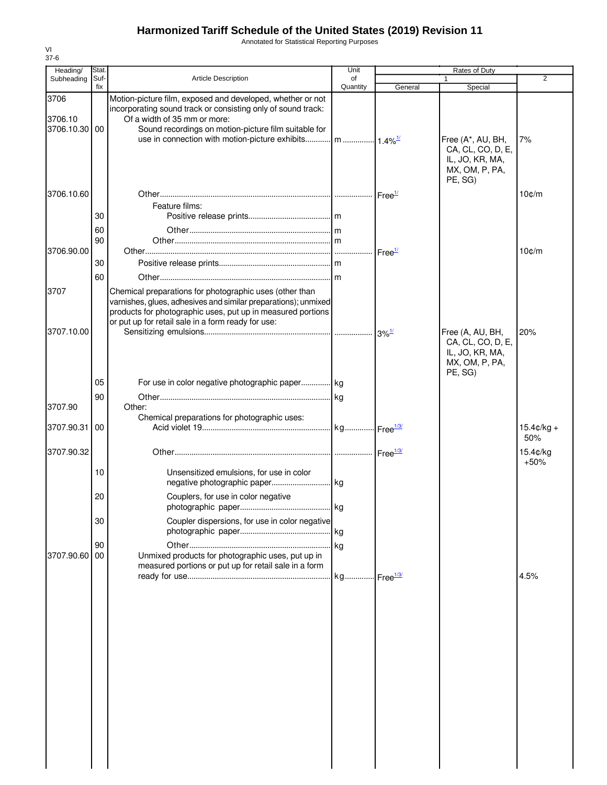Annotated for Statistical Reporting Purposes

| Heading/                         | Stat        |                                                                                                                                                                                                                                                                                               | Unit           |                     | Rates of Duty                                                                          |                      |
|----------------------------------|-------------|-----------------------------------------------------------------------------------------------------------------------------------------------------------------------------------------------------------------------------------------------------------------------------------------------|----------------|---------------------|----------------------------------------------------------------------------------------|----------------------|
| Subheading                       | Suf-<br>fix | <b>Article Description</b>                                                                                                                                                                                                                                                                    | of<br>Quantity | General             | 1<br>Special                                                                           | $\overline{2}$       |
| 3706<br>3706.10<br>3706.10.30 00 |             | Motion-picture film, exposed and developed, whether or not<br>incorporating sound track or consisting only of sound track:<br>Of a width of 35 mm or more:<br>Sound recordings on motion-picture film suitable for<br>use in connection with motion-picture exhibits   m   1.4% <sup>1/</sup> |                |                     | Free (A*, AU, BH,<br>CA, CL, CO, D, E,<br>IL, JO, KR, MA,<br>MX, OM, P, PA,<br>PE, SG) | 7%                   |
| 3706.10.60                       |             |                                                                                                                                                                                                                                                                                               |                |                     |                                                                                        | $10$ $c/m$           |
|                                  | 30          | Feature films:                                                                                                                                                                                                                                                                                |                |                     |                                                                                        |                      |
|                                  | 60<br>90    |                                                                                                                                                                                                                                                                                               |                |                     |                                                                                        |                      |
| 3706.90.00                       |             |                                                                                                                                                                                                                                                                                               |                |                     |                                                                                        | $10$ $c/m$           |
|                                  | 30          |                                                                                                                                                                                                                                                                                               |                |                     |                                                                                        |                      |
|                                  | 60          |                                                                                                                                                                                                                                                                                               |                |                     |                                                                                        |                      |
| 3707<br>3707.10.00               |             | Chemical preparations for photographic uses (other than<br>varnishes, glues, adhesives and similar preparations); unmixed<br>products for photographic uses, put up in measured portions<br>or put up for retail sale in a form ready for use:                                                |                | $3\%$ <sup>1/</sup> | Free (A, AU, BH,<br>CA, CL, CO, D, E,<br>IL, JO, KR, MA,                               | 20%                  |
| 3707.90                          | 05<br>90    | For use in color negative photographic paper kg<br>Other:                                                                                                                                                                                                                                     |                |                     | MX, OM, P, PA,<br>PE, SG)                                                              |                      |
| 3707.90.31                       | 00          | Chemical preparations for photographic uses:                                                                                                                                                                                                                                                  |                |                     |                                                                                        | $15.4$ ¢/kg +<br>50% |
| 3707.90.32                       |             |                                                                                                                                                                                                                                                                                               |                |                     |                                                                                        | 15.4¢/kg             |
|                                  | 10          | Unsensitized emulsions, for use in color                                                                                                                                                                                                                                                      |                |                     |                                                                                        | $+50%$               |
|                                  | 20          | Couplers, for use in color negative                                                                                                                                                                                                                                                           | kg             |                     |                                                                                        |                      |
|                                  | 30          | Coupler dispersions, for use in color negative                                                                                                                                                                                                                                                |                |                     |                                                                                        |                      |
| 3707.90.60                       | 90<br>00    | Unmixed products for photographic uses, put up in<br>measured portions or put up for retail sale in a form                                                                                                                                                                                    |                |                     |                                                                                        |                      |
|                                  |             |                                                                                                                                                                                                                                                                                               |                |                     |                                                                                        | 4.5%                 |
|                                  |             |                                                                                                                                                                                                                                                                                               |                |                     |                                                                                        |                      |
|                                  |             |                                                                                                                                                                                                                                                                                               |                |                     |                                                                                        |                      |
|                                  |             |                                                                                                                                                                                                                                                                                               |                |                     |                                                                                        |                      |
|                                  |             |                                                                                                                                                                                                                                                                                               |                |                     |                                                                                        |                      |